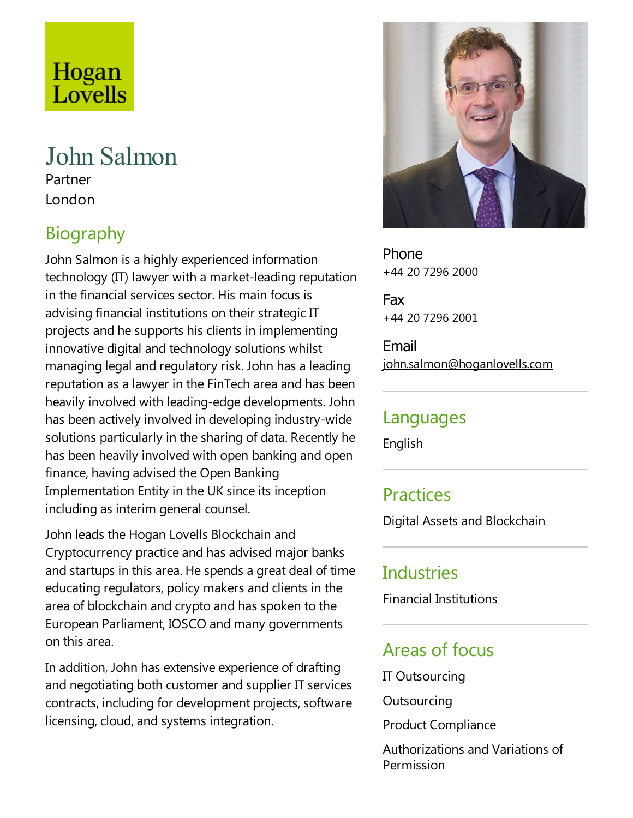# Hogan Lovells

# John Salmon Partner London

# Biography

John Salmon is a highly experienced information technology (IT) lawyer with a market-leading reputation in the financial services sector. His main focus is advising financial institutions on their strategic IT projects and he supports his clients in implementing innovative digital and technology solutions whilst managing legal and regulatory risk. John has aleading reputation as a lawyer in the FinTech area and has been heavily involved with leading-edge developments. John has been actively involved in developing industry-wide solutions particularly in the sharing of data. Recently he has been heavily involved with open banking and open finance, having advised the Open Banking Implementation Entity in the UK since its inception including as interim general counsel.

John leads the Hogan Lovells Blockchain and Cryptocurrency practice and has advised major banks and startups in this area. He spends a great deal of time educating regulators, policy makers and clients in the area of blockchain and crypto and has spoken to the European Parliament, IOSCO and many governments on this area.

In addition, John has extensive experience of drafting and negotiating both customer and supplier IT services contracts, including for development projects, software licensing, cloud, and systems integration.



Phone +44 20 7296 2000

Fax +44 20 7296 2001

Email john.salmon@hoganlovells.com

#### Languages

English

#### **Practices**

Digital Assets and Blockchain

#### **Industries**

Financial Institutions

#### Areas of focus

IT Outsourcing

**Outsourcing** 

Product Compliance

Authorizations and Variations of Permission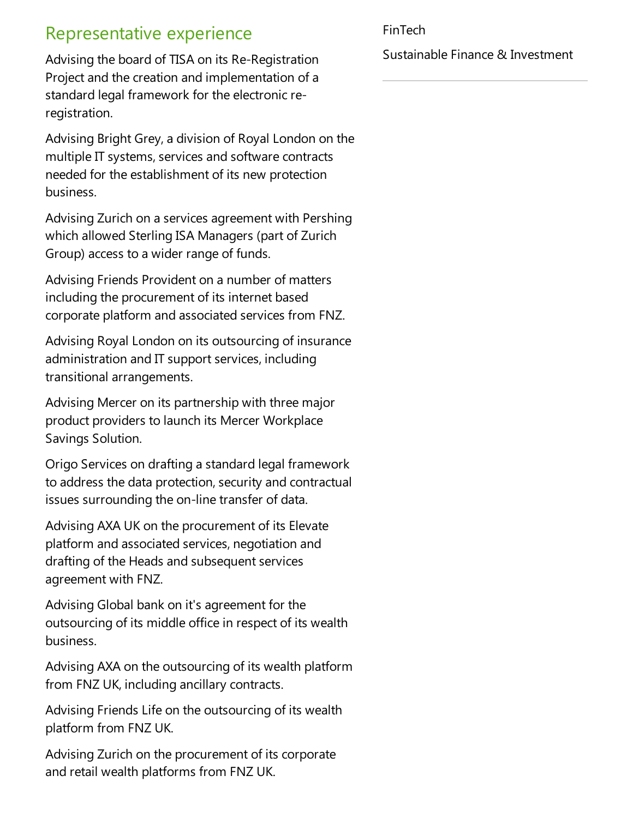## Representative experience

Advising the board of TISA on its Re-Registration Project and the creation and implementation of a standard legal framework for the electronic reregistration.

Advising Bright Grey, a division of Royal London on the multiple IT systems, services and software contracts needed for the establishment of its new protection business.

Advising Zurich on aservices agreement with Pershing which allowed Sterling ISA Managers (part of Zurich Group) access to a wider range of funds.

Advising Friends Provident on a number of matters including the procurement of its internet based corporate platform and associated services from FNZ.

Advising Royal London on its outsourcing of insurance administration and IT support services, including transitional arrangements.

Advising Mercer on its partnership with three major product providers to launch its Mercer Workplace Savings Solution.

Origo Services on drafting astandard legal framework to address the data protection, security and contractual issues surrounding the on-line transfer of data.

Advising AXA UK on the procurement of its Elevate platform and associated services, negotiation and drafting of the Heads and subsequent services agreement with FNZ.

Advising Global bank on it's agreement for the outsourcing of its middle office in respect of its wealth business.

Advising AXA on the outsourcing of its wealth platform from FNZ UK, including ancillary contracts.

Advising Friends Life on the outsourcing of its wealth platform from FNZ UK.

Advising Zurich on the procurement of its corporate and retail wealth platforms from FNZ UK.

#### FinTech

Sustainable Finance & Investment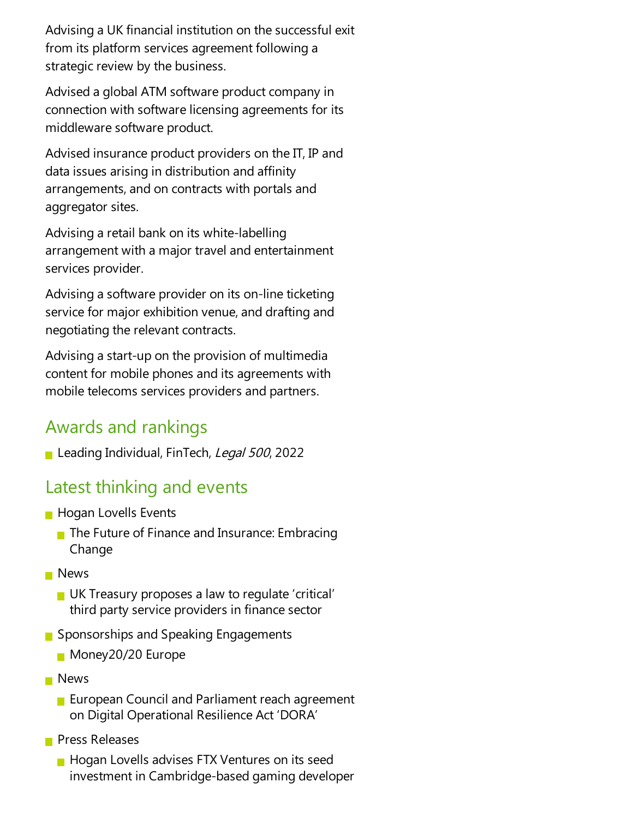Advising a UK financial institution on the successful exit from its platform services agreement following a strategic review by the business.

Advised a global ATM software product company in connection with software licensing agreements for its middleware software product.

Advised insurance product providers on the IT, IP and data issues arising in distribution and affinity arrangements, and on contracts with portals and aggregator sites.

Advising aretail bank on its white-labelling arrangement with a major travel and entertainment services provider.

Advising a software provider on its on-line ticketing service for major exhibition venue, and drafting and negotiating the relevant contracts.

Advising astart-up on the provision of multimedia content for mobile phones and its agreements with mobile telecoms services providers and partners.

## Awards and rankings

Leading Individual, FinTech, *Legal 500*, 2022

### Latest thinking and events

- **Hogan Lovells Events** 
	- $\blacksquare$  The Future of Finance and Insurance: Embracing Change
- **News** 
	- UK Treasury proposes a law to regulate 'critical' third party service providers in finance sector
- Sponsorships and Speaking Engagements
	- **Money20/20 Europe**
- **News** 
	- **European Council and Parliament reach agreement** on Digital Operational Resilience Act 'DORA'
- **Press Releases** 
	- **Hogan Lovells advises FTX Ventures on its seed** investment in Cambridge-based gaming developer